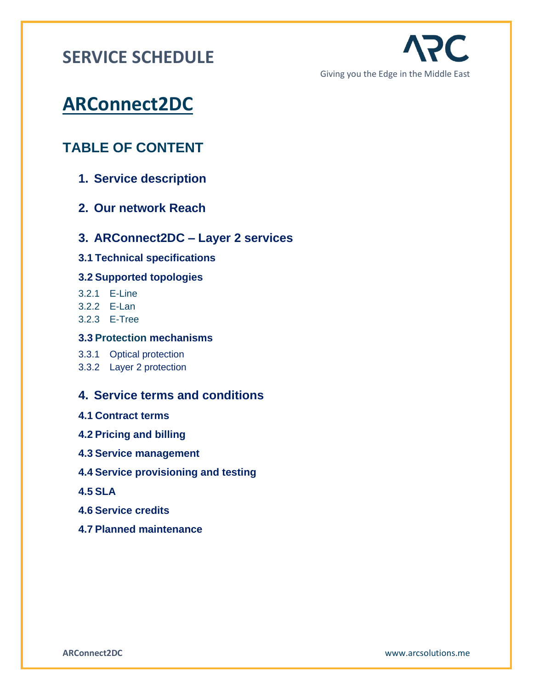

# **ARConnect2DC**

## **TABLE OF CONTENT**

- **1. Service description**
- **2. Our network Reach**
- **3. ARConnect2DC – Layer 2 services**
- **3.1 Technical specifications**

#### **3.2 Supported topologies**

- 3.2.1 E-Line
- 3.2.2 E-Lan
- 3.2.3 E-Tree

#### <span id="page-0-0"></span>**3.3 Protection mechanisms**

- 3.3.1 Optical protection
- 3.3.2 Layer 2 protection

### **4. Service terms and conditions**

- **4.1 Contract terms**
- **4.2 Pricing and billing**
- **4.3 Service management**
- **4.4 Service provisioning and testing**
- **4.5 SLA**
- **4.6 Service credits**
- **4.7 Planned maintenance**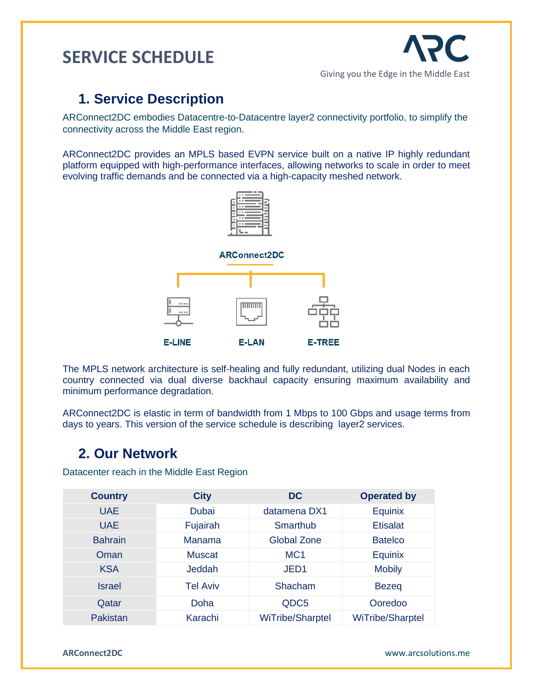

## **1. Service Description**

ARConnect2DC embodies Datacentre-to-Datacentre layer2 connectivity portfolio, to simplify the connectivity across the Middle East region.

ARConnect2DC provides an MPLS based EVPN service built on a native IP highly redundant platform equipped with high-performance interfaces, allowing networks to scale in order to meet evolving traffic demands and be connected via a high-capacity meshed network.



The MPLS network architecture is self-healing and fully redundant, utilizing dual Nodes in each country connected via dual diverse backhaul capacity ensuring maximum availability and minimum performance degradation.

ARConnect2DC is elastic in term of bandwidth from 1 Mbps to 100 Gbps and usage terms from days to years. This version of the service schedule is describing layer2 services.

## **2. Our Network**

| <b>Country</b> | <b>City</b>     | <b>DC</b>          | <b>Operated by</b>      |
|----------------|-----------------|--------------------|-------------------------|
| <b>UAE</b>     | <b>Dubai</b>    | datamena DX1       | <b>Equinix</b>          |
| <b>UAE</b>     | Fujairah        | Smarthub           | <b>Etisalat</b>         |
| <b>Bahrain</b> | Manama          | <b>Global Zone</b> | <b>Batelco</b>          |
| Oman           | <b>Muscat</b>   | MC <sub>1</sub>    | <b>Equinix</b>          |
| <b>KSA</b>     | <b>Jeddah</b>   | JED <sub>1</sub>   | <b>Mobily</b>           |
| <b>Israel</b>  | <b>Tel Aviv</b> | Shacham            | <b>Bezeq</b>            |
| Qatar          | Doha            | QDC <sub>5</sub>   | Ooredoo                 |
| Pakistan       | Karachi         | WiTribe/Sharptel   | <b>WiTribe/Sharptel</b> |

Datacenter reach in the Middle East Region

**ARConnect2DC** www.arcsolutions.me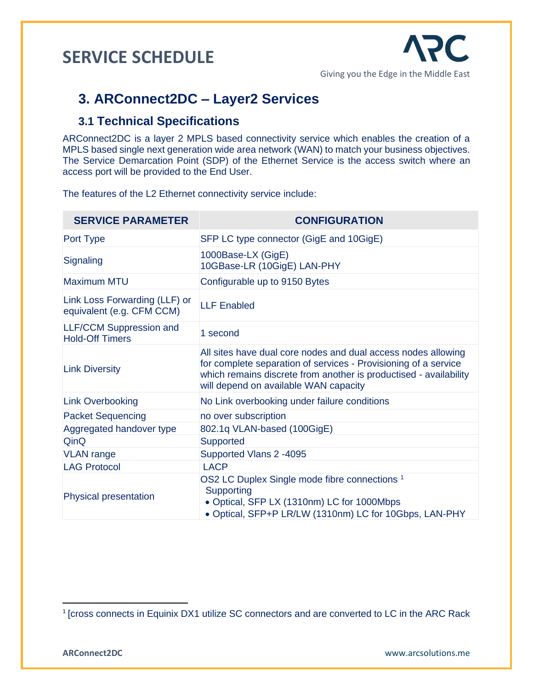

## **3. ARConnect2DC – Layer2 Services**

### **3.1 Technical Specifications**

ARConnect2DC is a layer 2 MPLS based connectivity service which enables the creation of a MPLS based single next generation wide area network (WAN) to match your business objectives. The Service Demarcation Point (SDP) of the Ethernet Service is the access switch where an access port will be provided to the End User.

The features of the L2 Ethernet connectivity service include:

| <b>SERVICE PARAMETER</b>                                   | <b>CONFIGURATION</b>                                                                                                                                                                                                                           |
|------------------------------------------------------------|------------------------------------------------------------------------------------------------------------------------------------------------------------------------------------------------------------------------------------------------|
| Port Type                                                  | SFP LC type connector (GigE and 10GigE)                                                                                                                                                                                                        |
| Signaling                                                  | 1000Base-LX (GigE)<br>10GBase-LR (10GigE) LAN-PHY                                                                                                                                                                                              |
| <b>Maximum MTU</b>                                         | Configurable up to 9150 Bytes                                                                                                                                                                                                                  |
| Link Loss Forwarding (LLF) or<br>equivalent (e.g. CFM CCM) | <b>LLF Enabled</b>                                                                                                                                                                                                                             |
| <b>LLF/CCM Suppression and</b><br><b>Hold-Off Timers</b>   | 1 second                                                                                                                                                                                                                                       |
| <b>Link Diversity</b>                                      | All sites have dual core nodes and dual access nodes allowing<br>for complete separation of services - Provisioning of a service<br>which remains discrete from another is productised - availability<br>will depend on available WAN capacity |
| <b>Link Overbooking</b>                                    | No Link overbooking under failure conditions                                                                                                                                                                                                   |
| <b>Packet Sequencing</b>                                   | no over subscription                                                                                                                                                                                                                           |
| Aggregated handover type                                   | 802.1q VLAN-based (100GigE)                                                                                                                                                                                                                    |
| QinQ                                                       | Supported                                                                                                                                                                                                                                      |
| <b>VLAN</b> range                                          | Supported Vlans 2 -4095                                                                                                                                                                                                                        |
| <b>LAG Protocol</b>                                        | <b>LACP</b>                                                                                                                                                                                                                                    |
| Physical presentation                                      | OS2 LC Duplex Single mode fibre connections <sup>1</sup><br>Supporting<br>• Optical, SFP LX (1310nm) LC for 1000Mbps<br>• Optical, SFP+P LR/LW (1310nm) LC for 10Gbps, LAN-PHY                                                                 |

<sup>&</sup>lt;sup>1</sup> [cross connects in Equinix DX1 utilize SC connectors and are converted to LC in the ARC Rack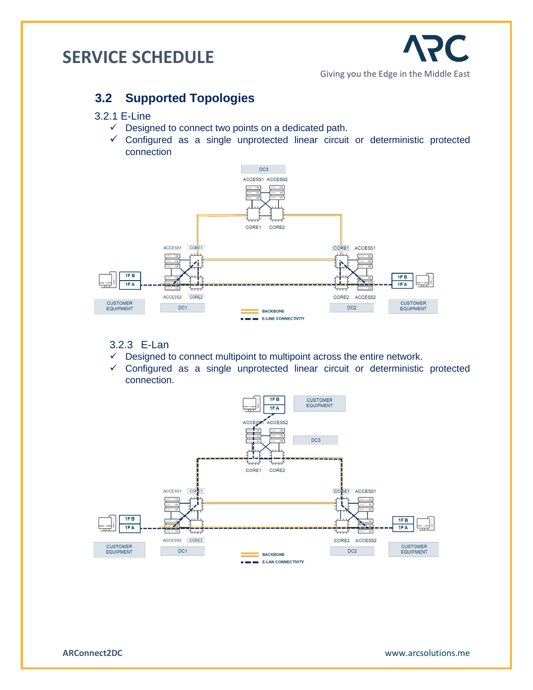

### **3.2 Supported Topologies**

- 3.2.1 E-Line
	- $\checkmark$  Designed to connect two points on a dedicated path.
	- ✓ Configured as a single unprotected linear circuit or deterministic protected connection



#### 3.2.3 E-Lan

- $\checkmark$  Designed to connect multipoint to multipoint across the entire network.
- ✓ Configured as a single unprotected linear circuit or deterministic protected connection.



**ARConnect2DC** www.arcsolutions.me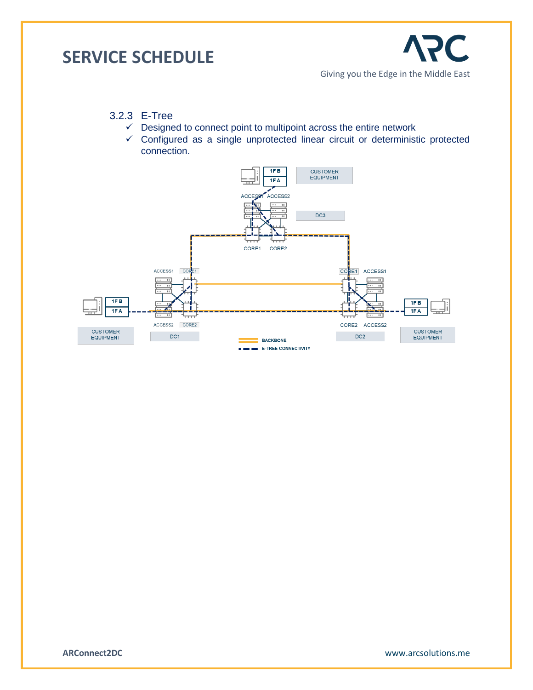

**ARConnect2DC** www.arcsolutions.me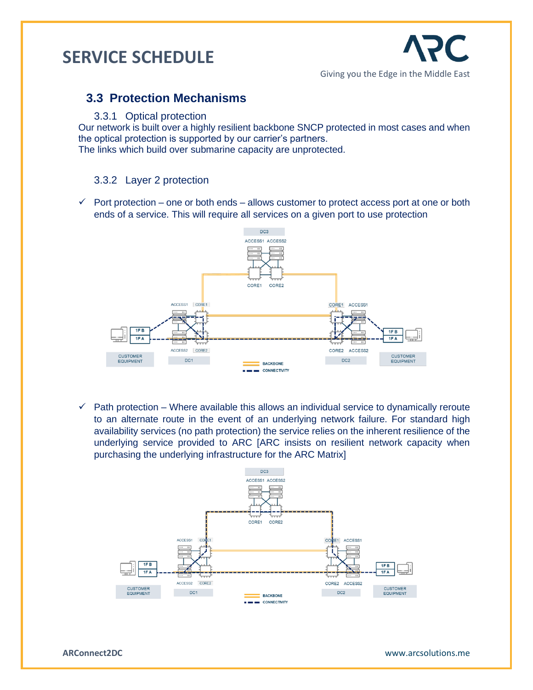

### **3.3 Protection Mechanisms**

#### 3.3.1 Optical protection

Our network is built over a highly resilient backbone SNCP protected in most cases and when the optical protection is supported by our carrier's partners. The links which build over submarine capacity are unprotected.

#### 3.3.2 Layer 2 protection

 $\checkmark$  Port protection – one or both ends – allows customer to protect access port at one or both ends of a service. This will require all services on a given port to use protection



 $\checkmark$  Path protection – Where available this allows an individual service to dynamically reroute to an alternate route in the event of an underlying network failure. For standard high availability services (no path protection) the service relies on the inherent resilience of the underlying service provided to ARC [ARC insists on resilient network capacity when purchasing the underlying infrastructure for the ARC Matrix]

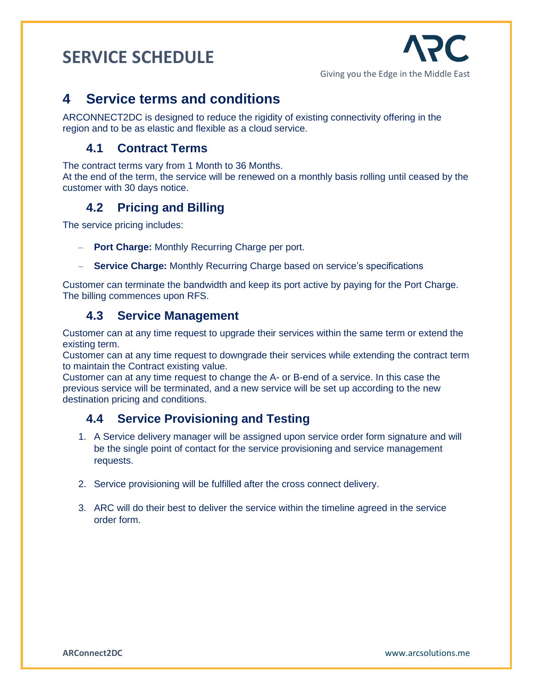

## **4 Service terms and conditions**

ARCONNECT2DC is designed to reduce the rigidity of existing connectivity offering in the region and to be as elastic and flexible as a cloud service.

### **4.1 Contract Terms**

The contract terms vary from 1 Month to 36 Months.

At the end of the term, the service will be renewed on a monthly basis rolling until ceased by the customer with 30 days notice.

### **4.2 Pricing and Billing**

The service pricing includes:

- **Port Charge:** Monthly Recurring Charge per port.
- **Service Charge:** Monthly Recurring Charge based on service's specifications

Customer can terminate the bandwidth and keep its port active by paying for the Port Charge. The billing commences upon RFS.

### **4.3 Service Management**

Customer can at any time request to upgrade their services within the same term or extend the existing term.

Customer can at any time request to downgrade their services while extending the contract term to maintain the Contract existing value.

Customer can at any time request to change the A- or B-end of a service. In this case the previous service will be terminated, and a new service will be set up according to the new destination pricing and conditions.

### **4.4 Service Provisioning and Testing**

- 1. A Service delivery manager will be assigned upon service order form signature and will be the single point of contact for the service provisioning and service management requests.
- 2. Service provisioning will be fulfilled after the cross connect delivery.
- 3. ARC will do their best to deliver the service within the timeline agreed in the service order form.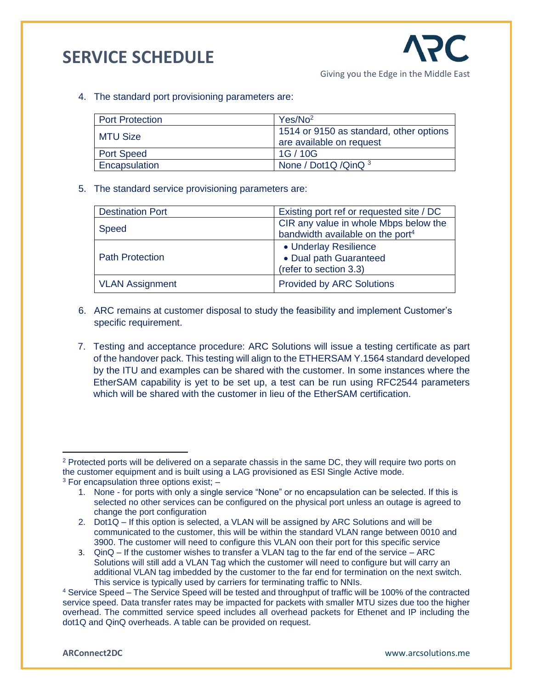

4. The standard port provisioning parameters are:

| <b>Port Protection</b> | Yes/No <sup>2</sup>                                                 |
|------------------------|---------------------------------------------------------------------|
| MTU Size               | 1514 or 9150 as standard, other options<br>are available on request |
| <b>Port Speed</b>      | 1G / 10G                                                            |
| Encapsulation          | None / Dot1Q / Qin $Q^3$                                            |

#### 5. The standard service provisioning parameters are:

| <b>Destination Port</b> | Existing port ref or requested site / DC                                              |
|-------------------------|---------------------------------------------------------------------------------------|
| <b>Speed</b>            | CIR any value in whole Mbps below the<br>bandwidth available on the port <sup>4</sup> |
| <b>Path Protection</b>  | • Underlay Resilience<br>• Dual path Guaranteed<br>(refer to section 3.3)             |
| <b>VLAN Assignment</b>  | <b>Provided by ARC Solutions</b>                                                      |

- 6. ARC remains at customer disposal to study the feasibility and implement Customer's specific requirement.
- 7. Testing and acceptance procedure: ARC Solutions will issue a testing certificate as part of the handover pack. This testing will align to the ETHERSAM Y.1564 standard developed by the ITU and examples can be shared with the customer. In some instances where the EtherSAM capability is yet to be set up, a test can be run using RFC2544 parameters which will be shared with the customer in lieu of the EtherSAM certification.

<sup>&</sup>lt;sup>2</sup> Protected ports will be delivered on a separate chassis in the same DC, they will require two ports on the customer equipment and is built using a LAG provisioned as ESI Single Active mode. <sup>3</sup> For encapsulation three options exist; –

<sup>1.</sup> None - for ports with only a single service "None" or no encapsulation can be selected. If this is selected no other services can be configured on the physical port unless an outage is agreed to change the port configuration

<sup>2.</sup> Dot1Q – If this option is selected, a VLAN will be assigned by ARC Solutions and will be communicated to the customer, this will be within the standard VLAN range between 0010 and 3900. The customer will need to configure this VLAN oon their port for this specific service

<sup>3.</sup> QinQ – If the customer wishes to transfer a VLAN tag to the far end of the service – ARC Solutions will still add a VLAN Tag which the customer will need to configure but will carry an additional VLAN tag imbedded by the customer to the far end for termination on the next switch. This service is typically used by carriers for terminating traffic to NNIs.

<sup>4</sup> Service Speed – The Service Speed will be tested and throughput of traffic will be 100% of the contracted service speed. Data transfer rates may be impacted for packets with smaller MTU sizes due too the higher overhead. The committed service speed includes all overhead packets for Ethenet and IP including the dot1Q and QinQ overheads. A table can be provided on request.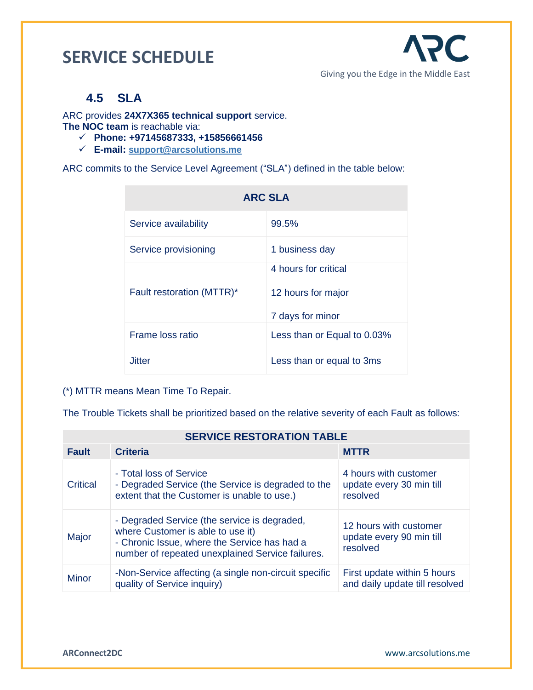

## **4.5 SLA**

ARC provides **24X7X365 technical support** service. **The NOC team** is reachable via:

- ✓ **Phone: +97145687333, +15856661456**
- ✓ **E-mail: [support@arcsolutions.me](mailto:support@arcsolutions.me)**

ARC commits to the Service Level Agreement ("SLA") defined in the table below:

| <b>ARC SLA</b>            |                                                                |  |
|---------------------------|----------------------------------------------------------------|--|
| Service availability      | 99.5%                                                          |  |
| Service provisioning      | 1 business day                                                 |  |
| Fault restoration (MTTR)* | 4 hours for critical<br>12 hours for major<br>7 days for minor |  |
| Frame loss ratio          | Less than or Equal to 0.03%                                    |  |
| . litter                  | Less than or equal to 3ms                                      |  |

(\*) MTTR means Mean Time To Repair.

The Trouble Tickets shall be prioritized based on the relative severity of each Fault as follows:

| <b>SERVICE RESTORATION TABLE</b> |                                                                                                                                                                                       |                                                                |
|----------------------------------|---------------------------------------------------------------------------------------------------------------------------------------------------------------------------------------|----------------------------------------------------------------|
| <b>Fault</b>                     | <b>Criteria</b>                                                                                                                                                                       | <b>MTTR</b>                                                    |
| Critical                         | - Total loss of Service<br>- Degraded Service (the Service is degraded to the<br>extent that the Customer is unable to use.)                                                          | 4 hours with customer<br>update every 30 min till<br>resolved  |
| Major                            | - Degraded Service (the service is degraded,<br>where Customer is able to use it)<br>- Chronic Issue, where the Service has had a<br>number of repeated unexplained Service failures. | 12 hours with customer<br>update every 90 min till<br>resolved |
| Minor                            | -Non-Service affecting (a single non-circuit specific<br>quality of Service inquiry)                                                                                                  | First update within 5 hours<br>and daily update till resolved  |